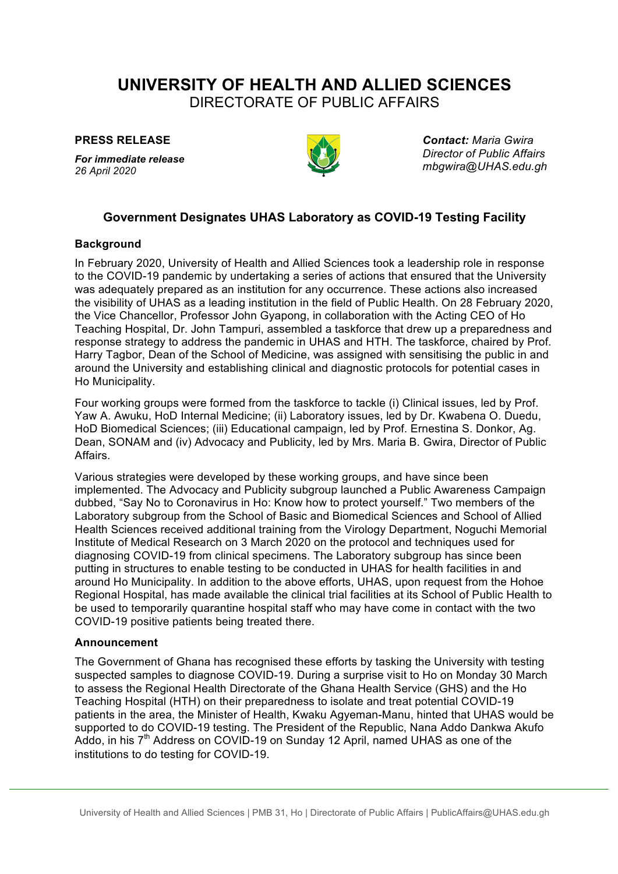# **UNIVERSITY OF HEALTH AND ALLIED SCIENCES**

DIRECTORATE OF PUBLIC AFFAIRS

**PRESS RELEASE**

*For immediate release 26 April 2020*



*Contact: Maria Gwira Director of Public Affairs mbgwira@UHAS.edu.gh*

## **Government Designates UHAS Laboratory as COVID-19 Testing Facility**

### **Background**

In February 2020, University of Health and Allied Sciences took a leadership role in response to the COVID-19 pandemic by undertaking a series of actions that ensured that the University was adequately prepared as an institution for any occurrence. These actions also increased the visibility of UHAS as a leading institution in the field of Public Health. On 28 February 2020, the Vice Chancellor, Professor John Gyapong, in collaboration with the Acting CEO of Ho Teaching Hospital, Dr. John Tampuri, assembled a taskforce that drew up a preparedness and response strategy to address the pandemic in UHAS and HTH. The taskforce, chaired by Prof. Harry Tagbor, Dean of the School of Medicine, was assigned with sensitising the public in and around the University and establishing clinical and diagnostic protocols for potential cases in Ho Municipality.

Four working groups were formed from the taskforce to tackle (i) Clinical issues, led by Prof. Yaw A. Awuku, HoD Internal Medicine; (ii) Laboratory issues, led by Dr. Kwabena O. Duedu, HoD Biomedical Sciences; (iii) Educational campaign, led by Prof. Ernestina S. Donkor, Ag. Dean, SONAM and (iv) Advocacy and Publicity, led by Mrs. Maria B. Gwira, Director of Public Affairs.

Various strategies were developed by these working groups, and have since been implemented. The Advocacy and Publicity subgroup launched a Public Awareness Campaign dubbed, "Say No to Coronavirus in Ho: Know how to protect yourself." Two members of the Laboratory subgroup from the School of Basic and Biomedical Sciences and School of Allied Health Sciences received additional training from the Virology Department, Noguchi Memorial Institute of Medical Research on 3 March 2020 on the protocol and techniques used for diagnosing COVID-19 from clinical specimens. The Laboratory subgroup has since been putting in structures to enable testing to be conducted in UHAS for health facilities in and around Ho Municipality. In addition to the above efforts, UHAS, upon request from the Hohoe Regional Hospital, has made available the clinical trial facilities at its School of Public Health to be used to temporarily quarantine hospital staff who may have come in contact with the two COVID-19 positive patients being treated there.

#### **Announcement**

The Government of Ghana has recognised these efforts by tasking the University with testing suspected samples to diagnose COVID-19. During a surprise visit to Ho on Monday 30 March to assess the Regional Health Directorate of the Ghana Health Service (GHS) and the Ho Teaching Hospital (HTH) on their preparedness to isolate and treat potential COVID-19 patients in the area, the Minister of Health, Kwaku Agyeman-Manu, hinted that UHAS would be supported to do COVID-19 testing. The President of the Republic, Nana Addo Dankwa Akufo Addo, in his 7<sup>th</sup> Address on COVID-19 on Sunday 12 April, named UHAS as one of the institutions to do testing for COVID-19.